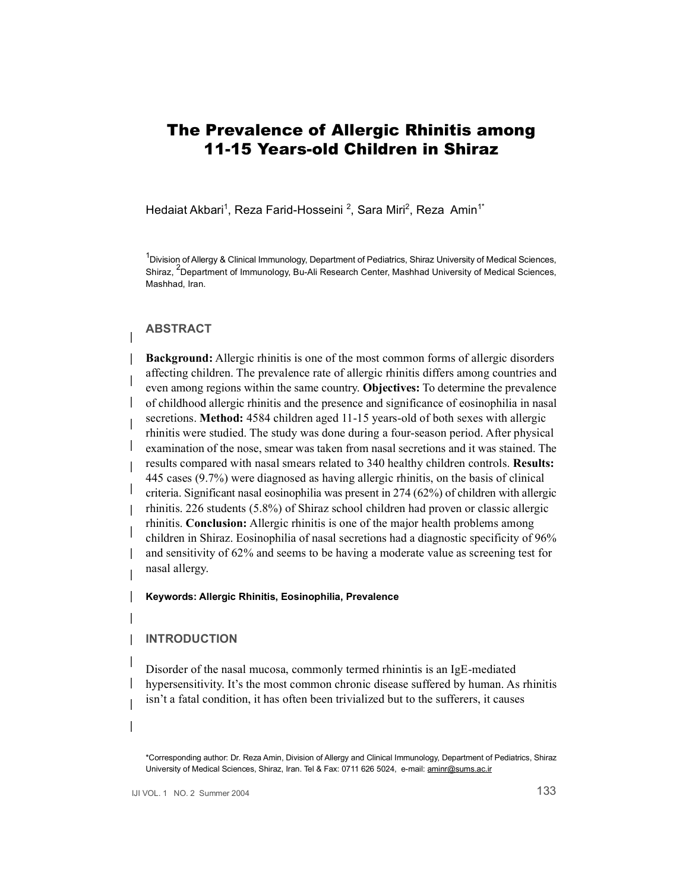# The Prevalence of Allergic Rhinitis among 11-15 Years-old Children in Shiraz

Hedaiat Akbari<sup>1</sup>, Reza Farid-Hosseini <sup>2</sup>, Sara Miri<sup>2</sup>, Reza Amin<sup>1\*</sup>

<sup>1</sup>Division of Allergy & Clinical Immunology, Department of Pediatrics, Shiraz University of Medical Sciences, Shiraz, <sup>2</sup>Department of Immunology, Bu-Ali Research Center, Mashhad University of Medical Sciences, Mashhad, Iran.

### **ABSTRACT**

**Background:** Allergic rhinitis is one of the most common forms of allergic disorders affecting children. The prevalence rate of allergic rhinitis differs among countries and even among regions within the same country. **Objectives:** To determine the prevalence of childhood allergic rhinitis and the presence and significance of eosinophilia in nasal secretions. **Method:** 4584 children aged 11-15 years-old of both sexes with allergic rhinitis were studied. The study was done during a four-season period. After physical examination of the nose, smear was taken from nasal secretions and it was stained. The results compared with nasal smears related to 340 healthy children controls. **Results:**  445 cases (9.7%) were diagnosed as having allergic rhinitis, on the basis of clinical criteria. Significant nasal eosinophilia was present in 274 (62%) of children with allergic rhinitis. 226 students (5.8%) of Shiraz school children had proven or classic allergic rhinitis. **Conclusion:** Allergic rhinitis is one of the major health problems among children in Shiraz. Eosinophilia of nasal secretions had a diagnostic specificity of 96% and sensitivity of 62% and seems to be having a moderate value as screening test for nasal allergy.

**Keywords: Allergic Rhinitis, Eosinophilia, Prevalence** 

#### **INTRODUCTION**

Disorder of the nasal mucosa, commonly termed rhinintis is an IgE-mediated hypersensitivity. It's the most common chronic disease suffered by human. As rhinitis isn't a fatal condition, it has often been trivialized but to the sufferers, it causes

<sup>\*</sup>Corresponding author: Dr. Reza Amin, Division of Allergy and Clinical Immunology, Department of Pediatrics, Shiraz University of Medical Sciences, Shiraz, Iran. Tel & Fax: 0711 626 5024, e-mail: [aminr@sums.ac.ir](mailto:aminr@sums.ac.ir)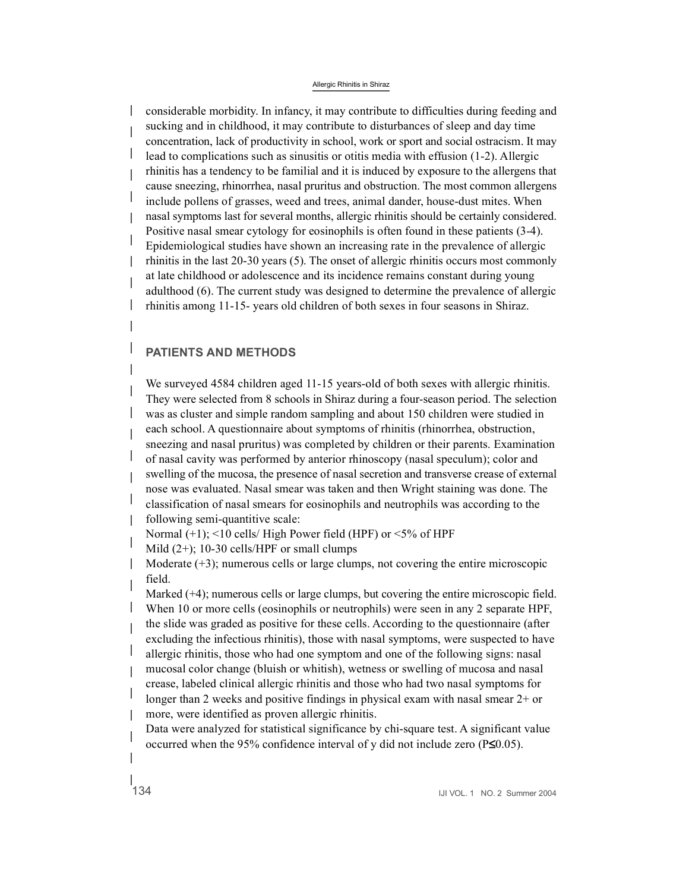#### Allergic Rhinitis in Shiraz

 $\mathbb{R}$ considerable morbidity. In infancy, it may contribute to difficulties during feeding and sucking and in childhood, it may contribute to disturbances of sleep and day time concentration, lack of productivity in school, work or sport and social ostracism. It may lead to complications such as sinusitis or otitis media with effusion (1-2). Allergic rhinitis has a tendency to be familial and it is induced by exposure to the allergens that cause sneezing, rhinorrhea, nasal pruritus and obstruction. The most common allergens include pollens of grasses, weed and trees, animal dander, house-dust mites. When nasal symptoms last for several months, allergic rhinitis should be certainly considered. Positive nasal smear cytology for eosinophils is often found in these patients (3-4). Epidemiological studies have shown an increasing rate in the prevalence of allergic rhinitis in the last 20-30 years (5). The onset of allergic rhinitis occurs most commonly at late childhood or adolescence and its incidence remains constant during young adulthood (6). The current study was designed to determine the prevalence of allergic rhinitis among 11-15- years old children of both sexes in four seasons in Shiraz.

# **PATIENTS AND METHODS**

We surveyed 4584 children aged 11-15 years-old of both sexes with allergic rhinitis. They were selected from 8 schools in Shiraz during a four-season period. The selection was as cluster and simple random sampling and about 150 children were studied in each school. A questionnaire about symptoms of rhinitis (rhinorrhea, obstruction, sneezing and nasal pruritus) was completed by children or their parents. Examination of nasal cavity was performed by anterior rhinoscopy (nasal speculum); color and swelling of the mucosa, the presence of nasal secretion and transverse crease of external nose was evaluated. Nasal smear was taken and then Wright staining was done. The classification of nasal smears for eosinophils and neutrophils was according to the following semi-quantitive scale:

Normal  $(+1)$ ; <10 cells/ High Power field (HPF) or <5% of HPF

Mild  $(2+)$ ; 10-30 cells/HPF or small clumps

Moderate  $(+3)$ ; numerous cells or large clumps, not covering the entire microscopic field.

Marked  $(+4)$ ; numerous cells or large clumps, but covering the entire microscopic field. When 10 or more cells (eosinophils or neutrophils) were seen in any 2 separate HPF, the slide was graded as positive for these cells. According to the questionnaire (after excluding the infectious rhinitis), those with nasal symptoms, were suspected to have allergic rhinitis, those who had one symptom and one of the following signs: nasal mucosal color change (bluish or whitish), wetness or swelling of mucosa and nasal crease, labeled clinical allergic rhinitis and those who had two nasal symptoms for longer than 2 weeks and positive findings in physical exam with nasal smear 2+ or more, were identified as proven allergic rhinitis.

Data were analyzed for statistical significance by chi-square test. A significant value occurred when the 95% confidence interval of y did not include zero  $(P \le 0.05)$ .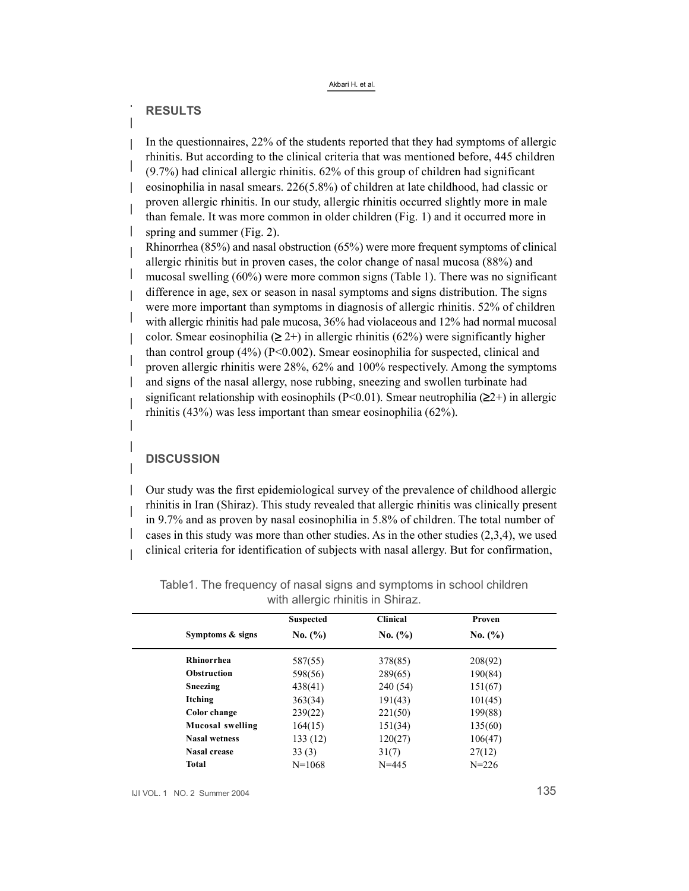Akbari H. et al.

## **RESULTS**

In the questionnaires, 22% of the students reported that they had symptoms of allergic rhinitis. But according to the clinical criteria that was mentioned before, 445 children (9.7%) had clinical allergic rhinitis. 62% of this group of children had significant eosinophilia in nasal smears. 226(5.8%) of children at late childhood, had classic or proven allergic rhinitis. In our study, allergic rhinitis occurred slightly more in male than female. It was more common in older children (Fig. 1) and it occurred more in spring and summer (Fig. 2).

Rhinorrhea (85%) and nasal obstruction (65%) were more frequent symptoms of clinical allergic rhinitis but in proven cases, the color change of nasal mucosa (88%) and mucosal swelling (60%) were more common signs (Table 1). There was no significant difference in age, sex or season in nasal symptoms and signs distribution. The signs were more important than symptoms in diagnosis of allergic rhinitis. 52% of children with allergic rhinitis had pale mucosa, 36% had violaceous and 12% had normal mucosal color. Smear eosinophilia ( $\geq 2+$ ) in allergic rhinitis (62%) were significantly higher than control group (4%) (P<0.002). Smear eosinophilia for suspected, clinical and proven allergic rhinitis were 28%, 62% and 100% respectively. Among the symptoms and signs of the nasal allergy, nose rubbing, sneezing and swollen turbinate had significant relationship with eosinophils (P<0.01). Smear neutrophilia (**m**2+) in allergic rhinitis (43%) was less important than smear eosinophilia (62%).

# **DISCUSSION**

Our study was the first epidemiological survey of the prevalence of childhood allergic rhinitis in Iran (Shiraz). This study revealed that allergic rhinitis was clinically present in 9.7% and as proven by nasal eosinophilia in 5.8% of children. The total number of cases in this study was more than other studies. As in the other studies (2,3,4), we used clinical criteria for identification of subjects with nasal allergy. But for confirmation,

|  | Symptoms & signs        | <b>Suspected</b><br>No. (%) | <b>Clinical</b><br>No. (%) | Proven<br>No. (%) |  |
|--|-------------------------|-----------------------------|----------------------------|-------------------|--|
|  |                         |                             |                            |                   |  |
|  | <b>Rhinorrhea</b>       | 587(55)                     | 378(85)                    | 208(92)           |  |
|  | <b>Obstruction</b>      | 598(56)                     | 289(65)                    | 190(84)           |  |
|  | Sneezing                | 438(41)                     | 240 (54)                   | 151(67)           |  |
|  | Itching                 | 363(34)                     | 191(43)                    | 101(45)           |  |
|  | Color change            | 239(22)                     | 221(50)                    | 199(88)           |  |
|  | <b>Mucosal swelling</b> | 164(15)                     | 151(34)                    | 135(60)           |  |
|  | <b>Nasal wetness</b>    | 133 (12)                    | 120(27)                    | 106(47)           |  |
|  | <b>Nasal crease</b>     | 33(3)                       | 31(7)                      | 27(12)            |  |
|  | <b>Total</b>            | $N = 1068$                  | $N = 445$                  | $N = 226$         |  |

Table1. The frequency of nasal signs and symptoms in school children with allergic rhinitis in Shiraz.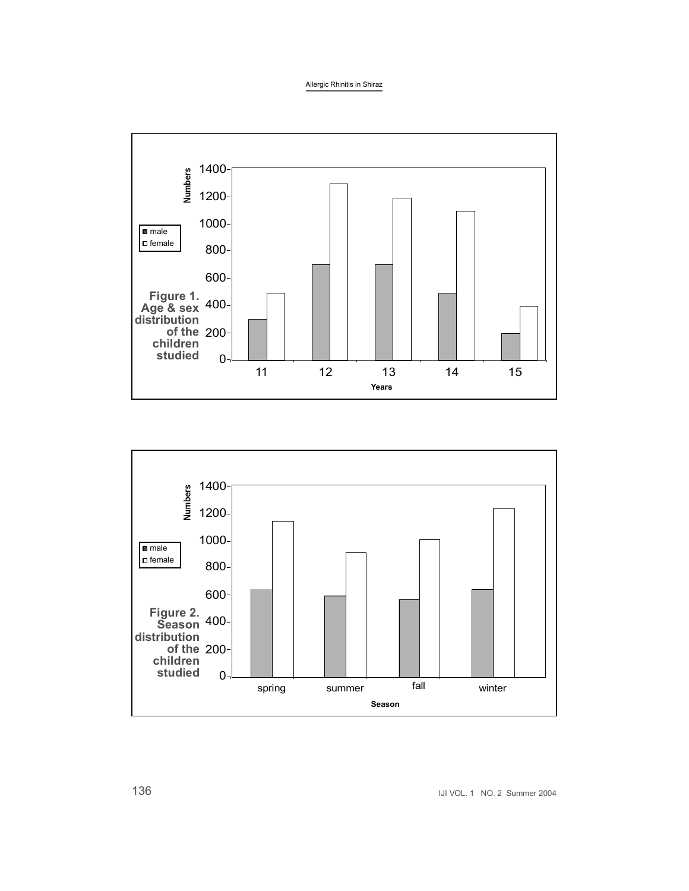